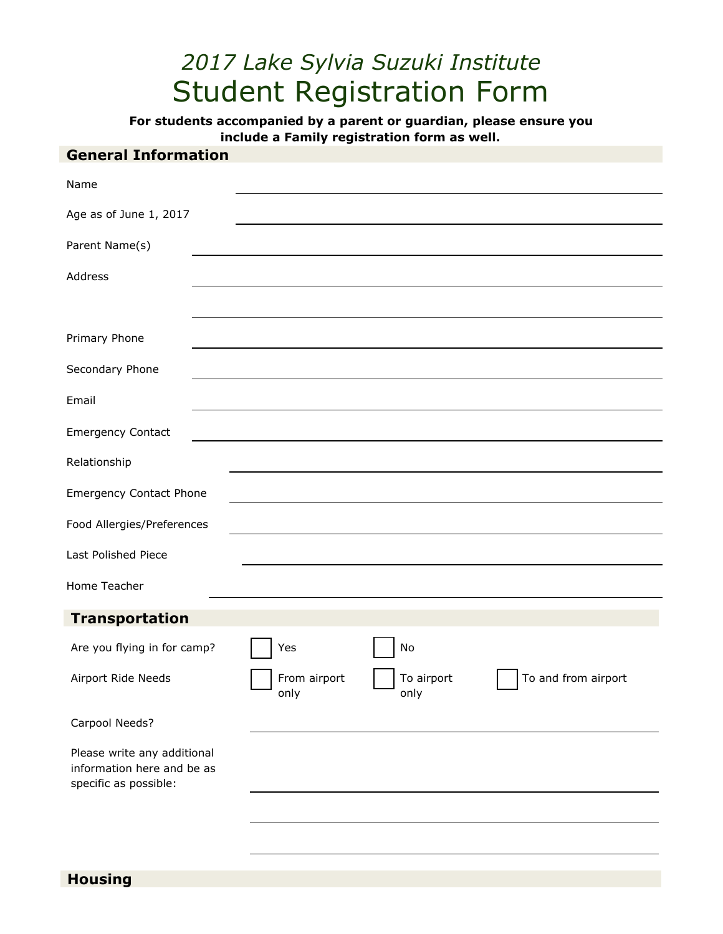# *2017 Lake Sylvia Suzuki Institute* Student Registration Form

**For students accompanied by a parent or guardian, please ensure you include a Family registration form as well.**

# **General Information**

| Name                                                                               |                      |                    |                     |
|------------------------------------------------------------------------------------|----------------------|--------------------|---------------------|
| Age as of June 1, 2017                                                             |                      |                    |                     |
| Parent Name(s)                                                                     |                      |                    |                     |
| Address                                                                            |                      |                    |                     |
|                                                                                    |                      |                    |                     |
| Primary Phone                                                                      |                      |                    |                     |
| Secondary Phone                                                                    |                      |                    |                     |
| Email                                                                              |                      |                    |                     |
| <b>Emergency Contact</b>                                                           |                      |                    |                     |
| Relationship                                                                       |                      |                    |                     |
| <b>Emergency Contact Phone</b>                                                     |                      |                    |                     |
| Food Allergies/Preferences                                                         |                      |                    |                     |
| Last Polished Piece                                                                |                      |                    |                     |
| Home Teacher                                                                       |                      |                    |                     |
| <b>Transportation</b>                                                              |                      |                    |                     |
| Are you flying in for camp?                                                        | Yes                  | No                 |                     |
| Airport Ride Needs                                                                 | From airport<br>only | To airport<br>only | To and from airport |
| Carpool Needs?                                                                     |                      |                    |                     |
| Please write any additional<br>information here and be as<br>specific as possible: |                      |                    |                     |
|                                                                                    |                      |                    |                     |
|                                                                                    |                      |                    |                     |

**Housing**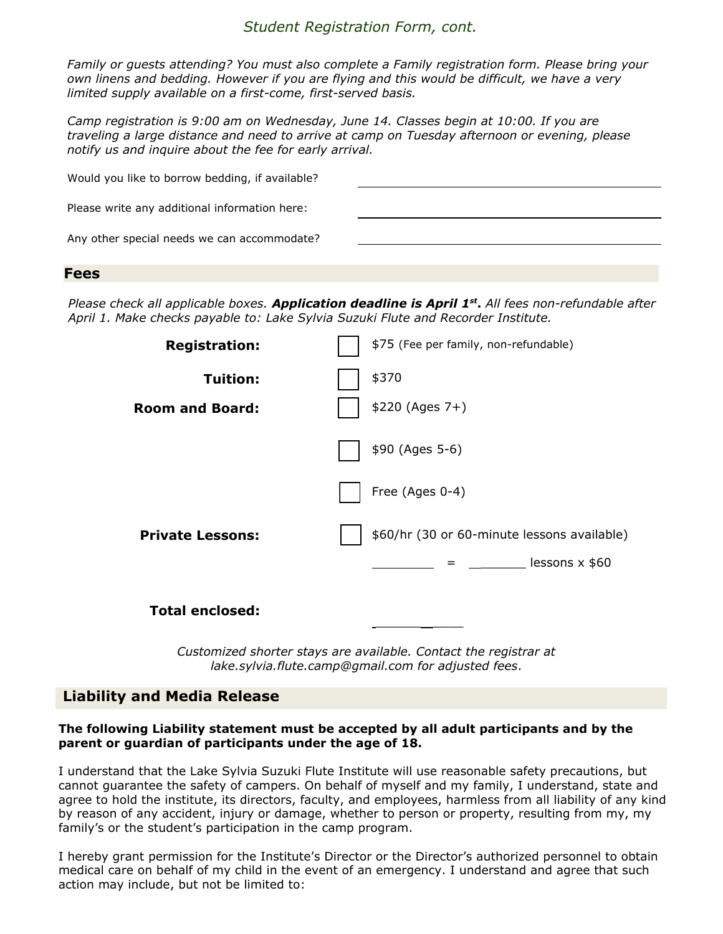## *Student Registration Form, cont.*

*Family or guests attending? You must also complete a Family registration form. Please bring your own linens and bedding. However if you are flying and this would be difficult, we have a very limited supply available on a first-come, first-served basis.*

*Camp registration is 9:00 am on Wednesday, June 14. Classes begin at 10:00. If you are traveling a large distance and need to arrive at camp on Tuesday afternoon or evening, please notify us and inquire about the fee for early arrival.*

| Would you like to borrow bedding, if available? |  |
|-------------------------------------------------|--|
| Please write any additional information here:   |  |
| Any other special needs we can accommodate?     |  |

#### **Fees**

*Please check all applicable boxes. Application deadline is April 1 st* **.** *All fees non-refundable after April 1. Make checks payable to: Lake Sylvia Suzuki Flute and Recorder Institute.*

| <b>Registration:</b>    | \$75 (Fee per family, non-refundable)       |  |
|-------------------------|---------------------------------------------|--|
| Tuition:                | \$370                                       |  |
| <b>Room and Board:</b>  | $$220 (Ages 7+)$                            |  |
|                         | \$90 (Ages 5-6)                             |  |
|                         | Free (Ages 0-4)                             |  |
| <b>Private Lessons:</b> | \$60/hr (30 or 60-minute lessons available) |  |
|                         | $\frac{1}{2}$ lessons x \$60<br>$=$         |  |
| <b>Total enclosed:</b>  |                                             |  |

*Customized shorter stays are available. Contact the registrar at lake.sylvia.flute.camp@gmail.com for adjusted fees*.

## **Liability and Media Release**

#### **The following Liability statement must be accepted by all adult participants and by the parent or guardian of participants under the age of 18.**

I understand that the Lake Sylvia Suzuki Flute Institute will use reasonable safety precautions, but cannot guarantee the safety of campers. On behalf of myself and my family, I understand, state and agree to hold the institute, its directors, faculty, and employees, harmless from all liability of any kind by reason of any accident, injury or damage, whether to person or property, resulting from my, my family's or the student's participation in the camp program.

I hereby grant permission for the Institute's Director or the Director's authorized personnel to obtain medical care on behalf of my child in the event of an emergency. I understand and agree that such action may include, but not be limited to: